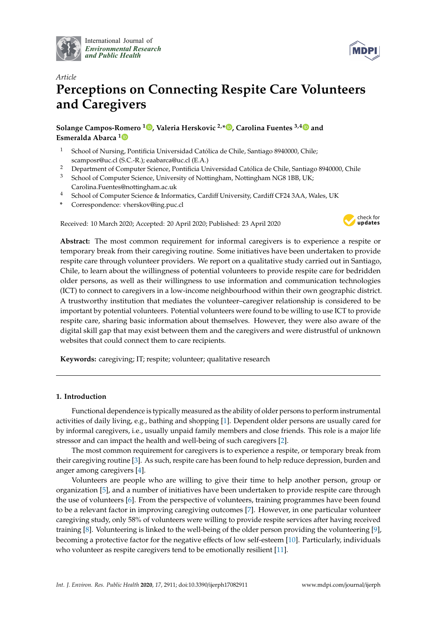

International Journal of *[Environmental Research](http://www.mdpi.com/journal/ijerph) and Public Health*



# *Article* **Perceptions on Connecting Respite Care Volunteers and Caregivers**

**Solange Campos-Romero <sup>1</sup> [,](https://orcid.org/0000-0002-8838-7697) Valeria Herskovic 2,\* [,](https://orcid.org/0000-0002-2650-6507) Carolina Fuentes 3,[4](https://orcid.org/0000-0002-0871-939X) and Esmeralda Abarca [1](https://orcid.org/0000-0001-8185-9551)**

- <sup>1</sup> School of Nursing, Pontificia Universidad Católica de Chile, Santiago 8940000, Chile; scamposr@uc.cl (S.C.-R.); eaabarca@uc.cl (E.A.)
- <sup>2</sup> Department of Computer Science, Pontificia Universidad Católica de Chile, Santiago 8940000, Chile
- <sup>3</sup> School of Computer Science, University of Nottingham, Nottingham NG8 1BB, UK; Carolina.Fuentes@nottingham.ac.uk
- <sup>4</sup> School of Computer Science & Informatics, Cardiff University, Cardiff CF24 3AA, Wales, UK
- **\*** Correspondence: vherskov@ing.puc.cl

Received: 10 March 2020; Accepted: 20 April 2020; Published: 23 April 2020



**Abstract:** The most common requirement for informal caregivers is to experience a respite or temporary break from their caregiving routine. Some initiatives have been undertaken to provide respite care through volunteer providers. We report on a qualitative study carried out in Santiago, Chile, to learn about the willingness of potential volunteers to provide respite care for bedridden older persons, as well as their willingness to use information and communication technologies (ICT) to connect to caregivers in a low-income neighbourhood within their own geographic district. A trustworthy institution that mediates the volunteer–caregiver relationship is considered to be important by potential volunteers. Potential volunteers were found to be willing to use ICT to provide respite care, sharing basic information about themselves. However, they were also aware of the digital skill gap that may exist between them and the caregivers and were distrustful of unknown websites that could connect them to care recipients.

**Keywords:** caregiving; IT; respite; volunteer; qualitative research

# **1. Introduction**

Functional dependence is typically measured as the ability of older persons to perform instrumental activities of daily living, e.g., bathing and shopping [\[1\]](#page-9-0). Dependent older persons are usually cared for by informal caregivers, i.e., usually unpaid family members and close friends. This role is a major life stressor and can impact the health and well-being of such caregivers [\[2\]](#page-9-1).

The most common requirement for caregivers is to experience a respite, or temporary break from their caregiving routine [\[3\]](#page-9-2). As such, respite care has been found to help reduce depression, burden and anger among caregivers [\[4\]](#page-9-3).

Volunteers are people who are willing to give their time to help another person, group or organization [\[5\]](#page-9-4), and a number of initiatives have been undertaken to provide respite care through the use of volunteers [\[6\]](#page-9-5). From the perspective of volunteers, training programmes have been found to be a relevant factor in improving caregiving outcomes [\[7\]](#page-9-6). However, in one particular volunteer caregiving study, only 58% of volunteers were willing to provide respite services after having received training [\[8\]](#page-9-7). Volunteering is linked to the well-being of the older person providing the volunteering [\[9\]](#page-9-8), becoming a protective factor for the negative effects of low self-esteem [\[10\]](#page-9-9). Particularly, individuals who volunteer as respite caregivers tend to be emotionally resilient [\[11\]](#page-9-10).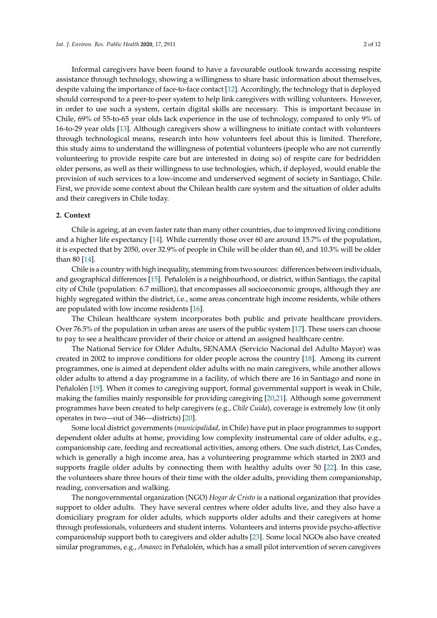Informal caregivers have been found to have a favourable outlook towards accessing respite assistance through technology, showing a willingness to share basic information about themselves, despite valuing the importance of face-to-face contact [\[12\]](#page-9-11). Accordingly, the technology that is deployed should correspond to a peer-to-peer system to help link caregivers with willing volunteers. However, in order to use such a system, certain digital skills are necessary. This is important because in Chile, 69% of 55-to-65 year olds lack experience in the use of technology, compared to only 9% of 16-to-29 year olds [\[13\]](#page-9-12). Although caregivers show a willingness to initiate contact with volunteers through technological means, research into how volunteers feel about this is limited. Therefore, this study aims to understand the willingness of potential volunteers (people who are not currently volunteering to provide respite care but are interested in doing so) of respite care for bedridden older persons, as well as their willingness to use technologies, which, if deployed, would enable the provision of such services to a low-income and underserved segment of society in Santiago, Chile. First, we provide some context about the Chilean health care system and the situation of older adults and their caregivers in Chile today.

#### **2. Context**

Chile is ageing, at an even faster rate than many other countries, due to improved living conditions and a higher life expectancy [\[14\]](#page-9-13). While currently those over 60 are around 15.7% of the population, it is expected that by 2050, over 32.9% of people in Chile will be older than 60, and 10.3% will be older than 80 [\[14\]](#page-9-13).

Chile is a country with high inequality, stemming from two sources: differences between individuals, and geographical differences [\[15\]](#page-9-14). Peñalolén is a neighbourhood, or district, within Santiago, the capital city of Chile (population: 6.7 million), that encompasses all socioeconomic groups, although they are highly segregated within the district, i.e., some areas concentrate high income residents, while others are populated with low income residents [\[16\]](#page-9-15).

The Chilean healthcare system incorporates both public and private healthcare providers. Over 76.5% of the population in urban areas are users of the public system [\[17\]](#page-10-0). These users can choose to pay to see a healthcare provider of their choice or attend an assigned healthcare centre.

The National Service for Older Adults, SENAMA (Servicio Nacional del Adulto Mayor) was created in 2002 to improve conditions for older people across the country [\[18\]](#page-10-1). Among its current programmes, one is aimed at dependent older adults with no main caregivers, while another allows older adults to attend a day programme in a facility, of which there are 16 in Santiago and none in Peñalolén [\[19\]](#page-10-2). When it comes to caregiving support, formal governmental support is weak in Chile, making the families mainly responsible for providing caregiving [\[20,](#page-10-3)[21\]](#page-10-4). Although some government programmes have been created to help caregivers (e.g., *Chile Cuida*), coverage is extremely low (it only operates in two—out of 346—districts) [\[20\]](#page-10-3).

Some local district governments (*municipalidad*, in Chile) have put in place programmes to support dependent older adults at home, providing low complexity instrumental care of older adults, e.g., companionship care, feeding and recreational activities, among others. One such district, Las Condes, which is generally a high income area, has a volunteering programme which started in 2003 and supports fragile older adults by connecting them with healthy adults over 50 [\[22\]](#page-10-5). In this case, the volunteers share three hours of their time with the older adults, providing them companionship, reading, conversation and walking.

The nongovernmental organization (NGO) *Hogar de Cristo* is a national organization that provides support to older adults. They have several centres where older adults live, and they also have a domiciliary program for older adults, which supports older adults and their caregivers at home through professionals, volunteers and student interns. Volunteers and interns provide psycho-affective companionship support both to caregivers and older adults [\[23\]](#page-10-6). Some local NGOs also have created similar programmes, e.g., *Amanoz* in Peñalolén, which has a small pilot intervention of seven caregivers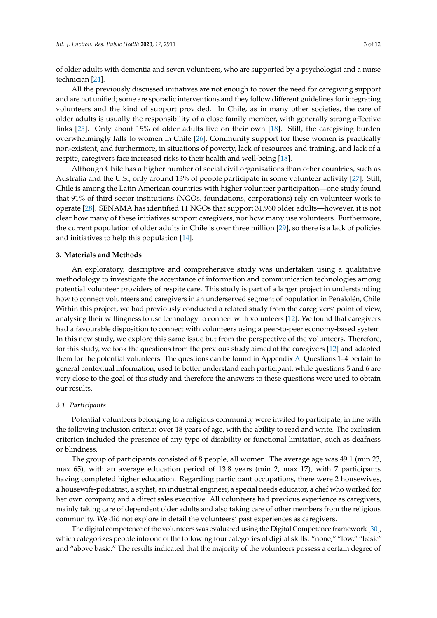of older adults with dementia and seven volunteers, who are supported by a psychologist and a nurse technician [\[24\]](#page-10-7).

All the previously discussed initiatives are not enough to cover the need for caregiving support and are not unified; some are sporadic interventions and they follow different guidelines for integrating volunteers and the kind of support provided. In Chile, as in many other societies, the care of older adults is usually the responsibility of a close family member, with generally strong affective links [\[25\]](#page-10-8). Only about 15% of older adults live on their own [\[18\]](#page-10-1). Still, the caregiving burden overwhelmingly falls to women in Chile [\[26\]](#page-10-9). Community support for these women is practically non-existent, and furthermore, in situations of poverty, lack of resources and training, and lack of a respite, caregivers face increased risks to their health and well-being [\[18\]](#page-10-1).

Although Chile has a higher number of social civil organisations than other countries, such as Australia and the U.S., only around 13% of people participate in some volunteer activity [\[27\]](#page-10-10). Still, Chile is among the Latin American countries with higher volunteer participation—one study found that 91% of third sector institutions (NGOs, foundations, corporations) rely on volunteer work to operate [\[28\]](#page-10-11). SENAMA has identified 11 NGOs that support 31,960 older adults—however, it is not clear how many of these initiatives support caregivers, nor how many use volunteers. Furthermore, the current population of older adults in Chile is over three million [\[29\]](#page-10-12), so there is a lack of policies and initiatives to help this population [\[14\]](#page-9-13).

#### **3. Materials and Methods**

An exploratory, descriptive and comprehensive study was undertaken using a qualitative methodology to investigate the acceptance of information and communication technologies among potential volunteer providers of respite care. This study is part of a larger project in understanding how to connect volunteers and caregivers in an underserved segment of population in Peñalolén, Chile. Within this project, we had previously conducted a related study from the caregivers' point of view, analysing their willingness to use technology to connect with volunteers [\[12\]](#page-9-11). We found that caregivers had a favourable disposition to connect with volunteers using a peer-to-peer economy-based system. In this new study, we explore this same issue but from the perspective of the volunteers. Therefore, for this study, we took the questions from the previous study aimed at the caregivers [\[12\]](#page-9-11) and adapted them for the potential volunteers. The questions can be found in Appendix [A.](#page-9-16) Questions 1–4 pertain to general contextual information, used to better understand each participant, while questions 5 and 6 are very close to the goal of this study and therefore the answers to these questions were used to obtain our results.

## *3.1. Participants*

Potential volunteers belonging to a religious community were invited to participate, in line with the following inclusion criteria: over 18 years of age, with the ability to read and write. The exclusion criterion included the presence of any type of disability or functional limitation, such as deafness or blindness.

The group of participants consisted of 8 people, all women. The average age was 49.1 (min 23, max 65), with an average education period of 13.8 years (min 2, max 17), with 7 participants having completed higher education. Regarding participant occupations, there were 2 housewives, a housewife-podiatrist, a stylist, an industrial engineer, a special needs educator, a chef who worked for her own company, and a direct sales executive. All volunteers had previous experience as caregivers, mainly taking care of dependent older adults and also taking care of other members from the religious community. We did not explore in detail the volunteers' past experiences as caregivers.

The digital competence of the volunteers was evaluated using the Digital Competence framework [\[30\]](#page-10-13), which categorizes people into one of the following four categories of digital skills: "none," "low," "basic" and "above basic." The results indicated that the majority of the volunteers possess a certain degree of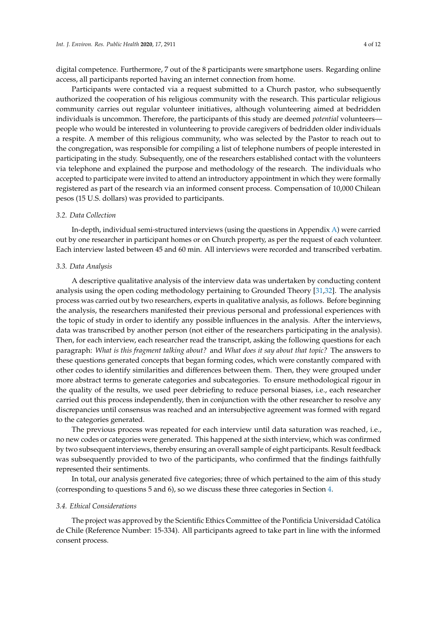digital competence. Furthermore, 7 out of the 8 participants were smartphone users. Regarding online access, all participants reported having an internet connection from home.

Participants were contacted via a request submitted to a Church pastor, who subsequently authorized the cooperation of his religious community with the research. This particular religious community carries out regular volunteer initiatives, although volunteering aimed at bedridden individuals is uncommon. Therefore, the participants of this study are deemed *potential* volunteers people who would be interested in volunteering to provide caregivers of bedridden older individuals a respite. A member of this religious community, who was selected by the Pastor to reach out to the congregation, was responsible for compiling a list of telephone numbers of people interested in participating in the study. Subsequently, one of the researchers established contact with the volunteers via telephone and explained the purpose and methodology of the research. The individuals who accepted to participate were invited to attend an introductory appointment in which they were formally registered as part of the research via an informed consent process. Compensation of 10,000 Chilean pesos (15 U.S. dollars) was provided to participants.

#### *3.2. Data Collection*

In-depth, individual semi-structured interviews (using the questions in Appendix [A\)](#page-9-16) were carried out by one researcher in participant homes or on Church property, as per the request of each volunteer. Each interview lasted between 45 and 60 min. All interviews were recorded and transcribed verbatim.

#### *3.3. Data Analysis*

A descriptive qualitative analysis of the interview data was undertaken by conducting content analysis using the open coding methodology pertaining to Grounded Theory [\[31,](#page-10-14)[32\]](#page-10-15). The analysis process was carried out by two researchers, experts in qualitative analysis, as follows. Before beginning the analysis, the researchers manifested their previous personal and professional experiences with the topic of study in order to identify any possible influences in the analysis. After the interviews, data was transcribed by another person (not either of the researchers participating in the analysis). Then, for each interview, each researcher read the transcript, asking the following questions for each paragraph: *What is this fragment talking about?* and *What does it say about that topic?* The answers to these questions generated concepts that began forming codes, which were constantly compared with other codes to identify similarities and differences between them. Then, they were grouped under more abstract terms to generate categories and subcategories. To ensure methodological rigour in the quality of the results, we used peer debriefing to reduce personal biases, i.e., each researcher carried out this process independently, then in conjunction with the other researcher to resolve any discrepancies until consensus was reached and an intersubjective agreement was formed with regard to the categories generated.

The previous process was repeated for each interview until data saturation was reached, i.e., no new codes or categories were generated. This happened at the sixth interview, which was confirmed by two subsequent interviews, thereby ensuring an overall sample of eight participants. Result feedback was subsequently provided to two of the participants, who confirmed that the findings faithfully represented their sentiments.

In total, our analysis generated five categories; three of which pertained to the aim of this study (corresponding to questions 5 and 6), so we discuss these three categories in Section [4.](#page-4-0)

#### *3.4. Ethical Considerations*

The project was approved by the Scientific Ethics Committee of the Pontificia Universidad Católica de Chile (Reference Number: 15-334). All participants agreed to take part in line with the informed consent process.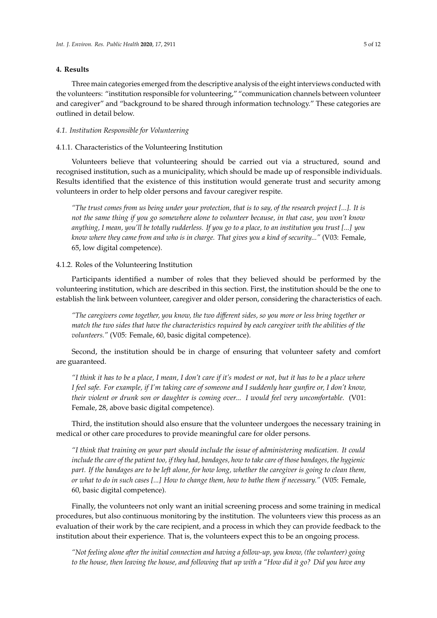## <span id="page-4-0"></span>**4. Results**

Three main categories emerged from the descriptive analysis of the eight interviews conducted with the volunteers: "institution responsible for volunteering," "communication channels between volunteer and caregiver" and "background to be shared through information technology." These categories are outlined in detail below.

#### *4.1. Institution Responsible for Volunteering*

## 4.1.1. Characteristics of the Volunteering Institution

Volunteers believe that volunteering should be carried out via a structured, sound and recognised institution, such as a municipality, which should be made up of responsible individuals. Results identified that the existence of this institution would generate trust and security among volunteers in order to help older persons and favour caregiver respite.

*"The trust comes from us being under your protection, that is to say, of the research project [...]. It is not the same thing if you go somewhere alone to volunteer because, in that case, you won't know anything, I mean, you'll be totally rudderless. If you go to a place, to an institution you trust [...] you know where they came from and who is in charge. That gives you a kind of security..."* (V03: Female, 65, low digital competence).

#### 4.1.2. Roles of the Volunteering Institution

Participants identified a number of roles that they believed should be performed by the volunteering institution, which are described in this section. First, the institution should be the one to establish the link between volunteer, caregiver and older person, considering the characteristics of each.

*"The caregivers come together, you know, the two di*ff*erent sides, so you more or less bring together or match the two sides that have the characteristics required by each caregiver with the abilities of the volunteers."* (V05: Female, 60, basic digital competence).

Second, the institution should be in charge of ensuring that volunteer safety and comfort are guaranteed.

*"I think it has to be a place, I mean, I don't care if it's modest or not, but it has to be a place where I feel safe. For example, if I'm taking care of someone and I suddenly hear gunfire or, I don't know, their violent or drunk son or daughter is coming over... I would feel very uncomfortable.* (V01: Female, 28, above basic digital competence).

Third, the institution should also ensure that the volunteer undergoes the necessary training in medical or other care procedures to provide meaningful care for older persons.

*"I think that training on your part should include the issue of administering medication. It could include the care of the patient too, if they had, bandages, how to take care of those bandages, the hygienic part. If the bandages are to be left alone, for how long, whether the caregiver is going to clean them, or what to do in such cases [...] How to change them, how to bathe them if necessary."* (V05: Female, 60, basic digital competence).

Finally, the volunteers not only want an initial screening process and some training in medical procedures, but also continuous monitoring by the institution. The volunteers view this process as an evaluation of their work by the care recipient, and a process in which they can provide feedback to the institution about their experience. That is, the volunteers expect this to be an ongoing process.

*"Not feeling alone after the initial connection and having a follow-up, you know, (the volunteer) going to the house, then leaving the house, and following that up with a "How did it go? Did you have any*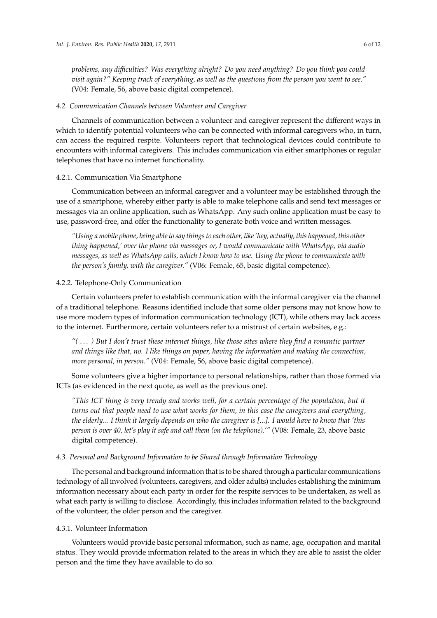*problems, any di*ffi*culties? Was everything alright? Do you need anything? Do you think you could visit again?" Keeping track of everything, as well as the questions from the person you went to see."* (V04: Female, 56, above basic digital competence).

#### *4.2. Communication Channels between Volunteer and Caregiver*

Channels of communication between a volunteer and caregiver represent the different ways in which to identify potential volunteers who can be connected with informal caregivers who, in turn, can access the required respite. Volunteers report that technological devices could contribute to encounters with informal caregivers. This includes communication via either smartphones or regular telephones that have no internet functionality.

## 4.2.1. Communication Via Smartphone

Communication between an informal caregiver and a volunteer may be established through the use of a smartphone, whereby either party is able to make telephone calls and send text messages or messages via an online application, such as WhatsApp. Any such online application must be easy to use, password-free, and offer the functionality to generate both voice and written messages.

*"Using a mobile phone, being able to say things to each other, like 'hey, actually, this happened, this other thing happened,' over the phone via messages or, I would communicate with WhatsApp, via audio messages, as well as WhatsApp calls, which I know how to use. Using the phone to communicate with the person's family, with the caregiver."* (V06: Female, 65, basic digital competence).

#### 4.2.2. Telephone-Only Communication

Certain volunteers prefer to establish communication with the informal caregiver via the channel of a traditional telephone. Reasons identified include that some older persons may not know how to use more modern types of information communication technology (ICT), while others may lack access to the internet. Furthermore, certain volunteers refer to a mistrust of certain websites, e.g.:

*"(* . . . *) But I don't trust these internet things, like those sites where they find a romantic partner and things like that, no. I like things on paper, having the information and making the connection, more personal, in person."* (V04: Female, 56, above basic digital competence).

Some volunteers give a higher importance to personal relationships, rather than those formed via ICTs (as evidenced in the next quote, as well as the previous one).

*"This ICT thing is very trendy and works well, for a certain percentage of the population, but it turns out that people need to use what works for them, in this case the caregivers and everything, the elderly... I think it largely depends on who the caregiver is [...]. I would have to know that 'this person is over 40, let's play it safe and call them (on the telephone).'"* (V08: Female, 23, above basic digital competence).

#### *4.3. Personal and Background Information to be Shared through Information Technology*

The personal and background information that is to be shared through a particular communications technology of all involved (volunteers, caregivers, and older adults) includes establishing the minimum information necessary about each party in order for the respite services to be undertaken, as well as what each party is willing to disclose. Accordingly, this includes information related to the background of the volunteer, the older person and the caregiver.

## 4.3.1. Volunteer Information

Volunteers would provide basic personal information, such as name, age, occupation and marital status. They would provide information related to the areas in which they are able to assist the older person and the time they have available to do so.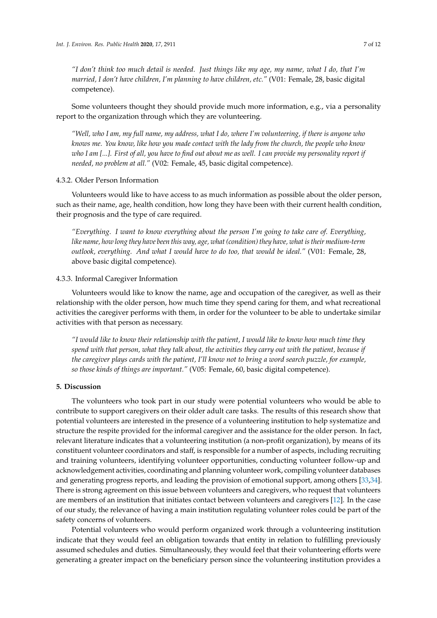*"I don't think too much detail is needed. Just things like my age, my name, what I do, that I'm married, I don't have children, I'm planning to have children, etc."* (V01: Female, 28, basic digital competence).

Some volunteers thought they should provide much more information, e.g., via a personality report to the organization through which they are volunteering.

*"Well, who I am, my full name, my address, what I do, where I'm volunteering, if there is anyone who knows me. You know, like how you made contact with the lady from the church, the people who know who I am [...]. First of all, you have to find out about me as well. I can provide my personality report if needed, no problem at all."* (V02: Female, 45, basic digital competence).

## 4.3.2. Older Person Information

Volunteers would like to have access to as much information as possible about the older person, such as their name, age, health condition, how long they have been with their current health condition, their prognosis and the type of care required.

*"Everything. I want to know everything about the person I'm going to take care of. Everything, like name, how long they have been this way, age, what (condition) they have, what is their medium-term outlook, everything. And what I would have to do too, that would be ideal."* (V01: Female, 28, above basic digital competence).

## 4.3.3. Informal Caregiver Information

Volunteers would like to know the name, age and occupation of the caregiver, as well as their relationship with the older person, how much time they spend caring for them, and what recreational activities the caregiver performs with them, in order for the volunteer to be able to undertake similar activities with that person as necessary.

*"I would like to know their relationship with the patient, I would like to know how much time they spend with that person, what they talk about, the activities they carry out with the patient, because if the caregiver plays cards with the patient, I'll know not to bring a word search puzzle, for example, so those kinds of things are important."* (V05: Female, 60, basic digital competence).

## **5. Discussion**

The volunteers who took part in our study were potential volunteers who would be able to contribute to support caregivers on their older adult care tasks. The results of this research show that potential volunteers are interested in the presence of a volunteering institution to help systematize and structure the respite provided for the informal caregiver and the assistance for the older person. In fact, relevant literature indicates that a volunteering institution (a non-profit organization), by means of its constituent volunteer coordinators and staff, is responsible for a number of aspects, including recruiting and training volunteers, identifying volunteer opportunities, conducting volunteer follow-up and acknowledgement activities, coordinating and planning volunteer work, compiling volunteer databases and generating progress reports, and leading the provision of emotional support, among others [\[33](#page-10-16)[,34\]](#page-10-17). There is strong agreement on this issue between volunteers and caregivers, who request that volunteers are members of an institution that initiates contact between volunteers and caregivers [\[12\]](#page-9-11). In the case of our study, the relevance of having a main institution regulating volunteer roles could be part of the safety concerns of volunteers.

Potential volunteers who would perform organized work through a volunteering institution indicate that they would feel an obligation towards that entity in relation to fulfilling previously assumed schedules and duties. Simultaneously, they would feel that their volunteering efforts were generating a greater impact on the beneficiary person since the volunteering institution provides a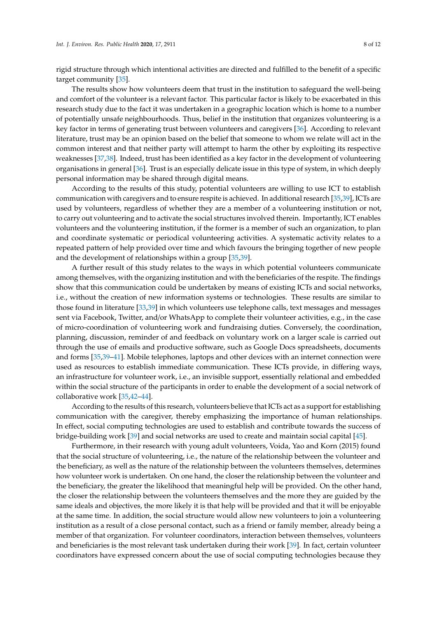rigid structure through which intentional activities are directed and fulfilled to the benefit of a specific target community [\[35\]](#page-10-18).

The results show how volunteers deem that trust in the institution to safeguard the well-being and comfort of the volunteer is a relevant factor. This particular factor is likely to be exacerbated in this research study due to the fact it was undertaken in a geographic location which is home to a number of potentially unsafe neighbourhoods. Thus, belief in the institution that organizes volunteering is a key factor in terms of generating trust between volunteers and caregivers [\[36\]](#page-10-19). According to relevant literature, trust may be an opinion based on the belief that someone to whom we relate will act in the common interest and that neither party will attempt to harm the other by exploiting its respective weaknesses [\[37,](#page-10-20)[38\]](#page-10-21). Indeed, trust has been identified as a key factor in the development of volunteering organisations in general [\[36\]](#page-10-19). Trust is an especially delicate issue in this type of system, in which deeply personal information may be shared through digital means.

According to the results of this study, potential volunteers are willing to use ICT to establish communication with caregivers and to ensure respite is achieved. In additional research [\[35,](#page-10-18)[39\]](#page-10-22), ICTs are used by volunteers, regardless of whether they are a member of a volunteering institution or not, to carry out volunteering and to activate the social structures involved therein. Importantly, ICT enables volunteers and the volunteering institution, if the former is a member of such an organization, to plan and coordinate systematic or periodical volunteering activities. A systematic activity relates to a repeated pattern of help provided over time and which favours the bringing together of new people and the development of relationships within a group [\[35](#page-10-18)[,39\]](#page-10-22).

A further result of this study relates to the ways in which potential volunteers communicate among themselves, with the organizing institution and with the beneficiaries of the respite. The findings show that this communication could be undertaken by means of existing ICTs and social networks, i.e., without the creation of new information systems or technologies. These results are similar to those found in literature [\[33](#page-10-16)[,39\]](#page-10-22) in which volunteers use telephone calls, text messages and messages sent via Facebook, Twitter, and/or WhatsApp to complete their volunteer activities, e.g., in the case of micro-coordination of volunteering work and fundraising duties. Conversely, the coordination, planning, discussion, reminder of and feedback on voluntary work on a larger scale is carried out through the use of emails and productive software, such as Google Docs spreadsheets, documents and forms [\[35,](#page-10-18)[39–](#page-10-22)[41\]](#page-11-0). Mobile telephones, laptops and other devices with an internet connection were used as resources to establish immediate communication. These ICTs provide, in differing ways, an infrastructure for volunteer work, i.e., an invisible support, essentially relational and embedded within the social structure of the participants in order to enable the development of a social network of collaborative work [\[35,](#page-10-18)[42–](#page-11-1)[44\]](#page-11-2).

According to the results of this research, volunteers believe that ICTs act as a support for establishing communication with the caregiver, thereby emphasizing the importance of human relationships. In effect, social computing technologies are used to establish and contribute towards the success of bridge-building work [\[39\]](#page-10-22) and social networks are used to create and maintain social capital [\[45\]](#page-11-3).

Furthermore, in their research with young adult volunteers, Voida, Yao and Korn (2015) found that the social structure of volunteering, i.e., the nature of the relationship between the volunteer and the beneficiary, as well as the nature of the relationship between the volunteers themselves, determines how volunteer work is undertaken. On one hand, the closer the relationship between the volunteer and the beneficiary, the greater the likelihood that meaningful help will be provided. On the other hand, the closer the relationship between the volunteers themselves and the more they are guided by the same ideals and objectives, the more likely it is that help will be provided and that it will be enjoyable at the same time. In addition, the social structure would allow new volunteers to join a volunteering institution as a result of a close personal contact, such as a friend or family member, already being a member of that organization. For volunteer coordinators, interaction between themselves, volunteers and beneficiaries is the most relevant task undertaken during their work [\[39\]](#page-10-22). In fact, certain volunteer coordinators have expressed concern about the use of social computing technologies because they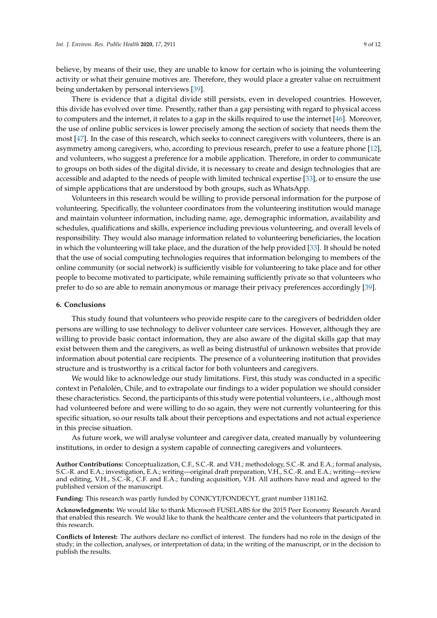believe, by means of their use, they are unable to know for certain who is joining the volunteering activity or what their genuine motives are. Therefore, they would place a greater value on recruitment being undertaken by personal interviews [\[39\]](#page-10-22).

There is evidence that a digital divide still persists, even in developed countries. However, this divide has evolved over time. Presently, rather than a gap persisting with regard to physical access to computers and the internet, it relates to a gap in the skills required to use the internet [\[46\]](#page-11-4). Moreover, the use of online public services is lower precisely among the section of society that needs them the most [\[47\]](#page-11-5). In the case of this research, which seeks to connect caregivers with volunteers, there is an asymmetry among caregivers, who, according to previous research, prefer to use a feature phone [\[12\]](#page-9-11), and volunteers, who suggest a preference for a mobile application. Therefore, in order to communicate to groups on both sides of the digital divide, it is necessary to create and design technologies that are accessible and adapted to the needs of people with limited technical expertise [\[33\]](#page-10-16), or to ensure the use of simple applications that are understood by both groups, such as WhatsApp.

Volunteers in this research would be willing to provide personal information for the purpose of volunteering. Specifically, the volunteer coordinators from the volunteering institution would manage and maintain volunteer information, including name, age, demographic information, availability and schedules, qualifications and skills, experience including previous volunteering, and overall levels of responsibility. They would also manage information related to volunteering beneficiaries, the location in which the volunteering will take place, and the duration of the help provided [\[33\]](#page-10-16). It should be noted that the use of social computing technologies requires that information belonging to members of the online community (or social network) is sufficiently visible for volunteering to take place and for other people to become motivated to participate, while remaining sufficiently private so that volunteers who prefer to do so are able to remain anonymous or manage their privacy preferences accordingly [\[39\]](#page-10-22).

## **6. Conclusions**

This study found that volunteers who provide respite care to the caregivers of bedridden older persons are willing to use technology to deliver volunteer care services. However, although they are willing to provide basic contact information, they are also aware of the digital skills gap that may exist between them and the caregivers, as well as being distrustful of unknown websites that provide information about potential care recipients. The presence of a volunteering institution that provides structure and is trustworthy is a critical factor for both volunteers and caregivers.

We would like to acknowledge our study limitations. First, this study was conducted in a specific context in Peñalolén, Chile, and to extrapolate our findings to a wider population we should consider these characteristics. Second, the participants of this study were potential volunteers, i.e., although most had volunteered before and were willing to do so again, they were not currently volunteering for this specific situation, so our results talk about their perceptions and expectations and not actual experience in this precise situation.

As future work, we will analyse volunteer and caregiver data, created manually by volunteering institutions, in order to design a system capable of connecting caregivers and volunteers.

**Author Contributions:** Conceptualization, C.F., S.C.-R. and V.H.; methodology, S.C.-R. and E.A.; formal analysis, S.C.-R. and E.A.; investigation, E.A.; writing—original draft preparation, V.H., S.C.-R. and E.A.; writing—review and editing, V.H., S.C.-R., C.F. and E.A.; funding acquisition, V.H. All authors have read and agreed to the published version of the manuscript.

**Funding:** This research was partly funded by CONICYT/FONDECYT, grant number 1181162.

**Acknowledgments:** We would like to thank Microsoft FUSELABS for the 2015 Peer Economy Research Award that enabled this research. We would like to thank the healthcare center and the volunteers that participated in this research.

**Conflicts of Interest:** The authors declare no conflict of interest. The funders had no role in the design of the study; in the collection, analyses, or interpretation of data; in the writing of the manuscript, or in the decision to publish the results.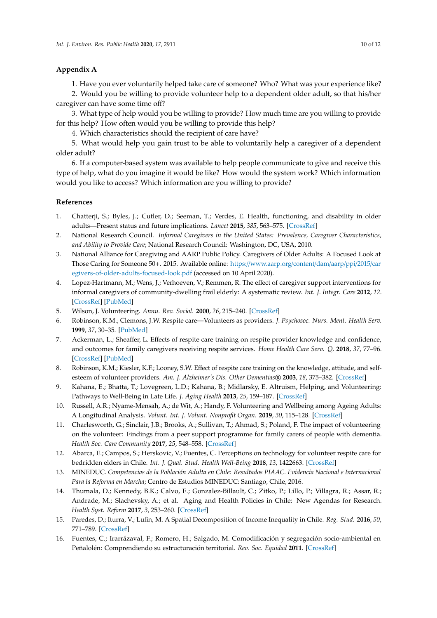# <span id="page-9-16"></span>**Appendix A**

1. Have you ever voluntarily helped take care of someone? Who? What was your experience like?

2. Would you be willing to provide volunteer help to a dependent older adult, so that his/her caregiver can have some time off?

3. What type of help would you be willing to provide? How much time are you willing to provide for this help? How often would you be willing to provide this help?

4. Which characteristics should the recipient of care have?

5. What would help you gain trust to be able to voluntarily help a caregiver of a dependent older adult?

6. If a computer-based system was available to help people communicate to give and receive this type of help, what do you imagine it would be like? How would the system work? Which information would you like to access? Which information are you willing to provide?

# **References**

- <span id="page-9-0"></span>1. Chatterji, S.; Byles, J.; Cutler, D.; Seeman, T.; Verdes, E. Health, functioning, and disability in older adults—Present status and future implications. *Lancet* **2015**, *385*, 563–575. [\[CrossRef\]](http://dx.doi.org/10.1016/S0140-6736(14)61462-8)
- <span id="page-9-1"></span>2. National Research Council. *Informal Caregivers in the United States: Prevalence, Caregiver Characteristics, and Ability to Provide Care*; National Research Council: Washington, DC, USA, 2010.
- <span id="page-9-2"></span>3. National Alliance for Caregiving and AARP Public Policy. Caregivers of Older Adults: A Focused Look at Those Caring for Someone 50+. 2015. Available online: https://[www.aarp.org](https://www.aarp.org/content/dam/aarp/ppi/2015/caregivers-of-older-adults-focused-look.pdf)/content/dam/aarp/ppi/2015/car [egivers-of-older-adults-focused-look.pdf](https://www.aarp.org/content/dam/aarp/ppi/2015/caregivers-of-older-adults-focused-look.pdf) (accessed on 10 April 2020).
- <span id="page-9-3"></span>4. Lopez-Hartmann, M.; Wens, J.; Verhoeven, V.; Remmen, R. The effect of caregiver support interventions for informal caregivers of community-dwelling frail elderly: A systematic review. *Int. J. Integr. Care* **2012**, *12*. [\[CrossRef\]](http://dx.doi.org/10.5334/ijic.845) [\[PubMed\]](http://www.ncbi.nlm.nih.gov/pubmed/23593047)
- <span id="page-9-4"></span>5. Wilson, J. Volunteering. *Annu. Rev. Sociol.* **2000**, *26*, 215–240. [\[CrossRef\]](http://dx.doi.org/10.1146/annurev.soc.26.1.215)
- <span id="page-9-5"></span>6. Robinson, K.M.; Clemons, J.W. Respite care—Volunteers as providers. *J. Psychosoc. Nurs. Ment. Health Serv.* **1999**, *37*, 30–35. [\[PubMed\]](http://www.ncbi.nlm.nih.gov/pubmed/9921463)
- <span id="page-9-6"></span>7. Ackerman, L.; Sheaffer, L. Effects of respite care training on respite provider knowledge and confidence, and outcomes for family caregivers receiving respite services. *Home Health Care Serv. Q.* **2018**, *37*, 77–96. [\[CrossRef\]](http://dx.doi.org/10.1080/01621424.2018.1438954) [\[PubMed\]](http://www.ncbi.nlm.nih.gov/pubmed/29424679)
- <span id="page-9-7"></span>8. Robinson, K.M.; Kiesler, K.F.; Looney, S.W. Effect of respite care training on the knowledge, attitude, and selfesteem of volunteer providers. *Am. J. Alzheimer's Dis. Other Dementias*® **2003**, *18*, 375–382. [\[CrossRef\]](http://dx.doi.org/10.1177/153331750301800611)
- <span id="page-9-8"></span>9. Kahana, E.; Bhatta, T.; Lovegreen, L.D.; Kahana, B.; Midlarsky, E. Altruism, Helping, and Volunteering: Pathways to Well-Being in Late Life. *J. Aging Health* **2013**, *25*, 159–187. [\[CrossRef\]](http://dx.doi.org/10.1177/0898264312469665)
- <span id="page-9-9"></span>10. Russell, A.R.; Nyame-Mensah, A.; de Wit, A.; Handy, F. Volunteering and Wellbeing among Ageing Adults: A Longitudinal Analysis. *Volunt. Int. J. Volunt. Nonprofit Organ.* **2019**, *30*, 115–128. [\[CrossRef\]](http://dx.doi.org/10.1007/s11266-018-0041-8)
- <span id="page-9-10"></span>11. Charlesworth, G.; Sinclair, J.B.; Brooks, A.; Sullivan, T.; Ahmad, S.; Poland, F. The impact of volunteering on the volunteer: Findings from a peer support programme for family carers of people with dementia. *Health Soc. Care Community* **2017**, *25*, 548–558. [\[CrossRef\]](http://dx.doi.org/10.1111/hsc.12341)
- <span id="page-9-11"></span>12. Abarca, E.; Campos, S.; Herskovic, V.; Fuentes, C. Perceptions on technology for volunteer respite care for bedridden elders in Chile. *Int. J. Qual. Stud. Health Well-Being* **2018**, *13*, 1422663. [\[CrossRef\]](http://dx.doi.org/10.1080/17482631.2017.1422663)
- <span id="page-9-12"></span>13. MINEDUC. *Competencias de la Población Adulta en Chile: Resultados PIAAC. Evidencia Nacional e Internacional Para la Reforma en Marcha*; Centro de Estudios MINEDUC: Santiago, Chile, 2016.
- <span id="page-9-13"></span>14. Thumala, D.; Kennedy, B.K.; Calvo, E.; Gonzalez-Billault, C.; Zitko, P.; Lillo, P.; Villagra, R.; Assar, R.; Andrade, M.; Slachevsky, A.; et al. Aging and Health Policies in Chile: New Agendas for Research. *Health Syst. Reform* **2017**, *3*, 253–260. [\[CrossRef\]](http://dx.doi.org/10.1080/23288604.2017.1353844)
- <span id="page-9-14"></span>15. Paredes, D.; Iturra, V.; Lufin, M. A Spatial Decomposition of Income Inequality in Chile. *Reg. Stud.* **2016**, *50*, 771–789. [\[CrossRef\]](http://dx.doi.org/10.1080/00343404.2014.933798)
- <span id="page-9-15"></span>16. Fuentes, C.; Irarrázaval, F.; Romero, H.; Salgado, M. Comodificación y segregación socio-ambiental en Peñalolén: Comprendiendo su estructuración territorial. *Rev. Soc. Equidad* **2011**. [\[CrossRef\]](http://dx.doi.org/10.5354/0718-9990.2011.10601)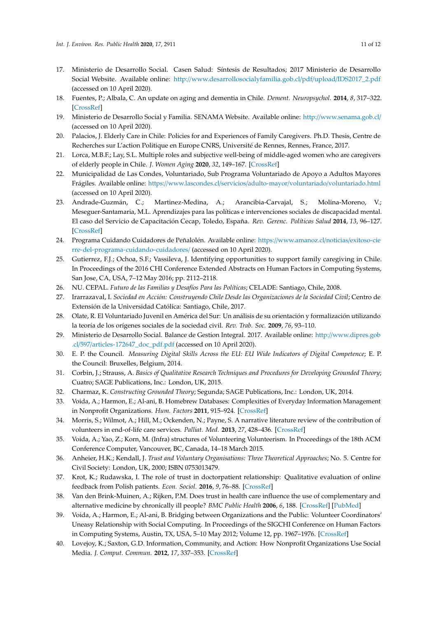- <span id="page-10-0"></span>17. Ministerio de Desarrollo Social. Casen Salud: Síntesis de Resultados; 2017 Ministerio de Desarrollo Social Website. Available online: http://[www.desarrollosocialyfamilia.gob.cl](http://www.desarrollosocialyfamilia.gob.cl/pdf/upload/IDS2017_2.pdf)/pdf/upload/IDS2017\_2.pdf (accessed on 10 April 2020).
- <span id="page-10-1"></span>18. Fuentes, P.; Albala, C. An update on aging and dementia in Chile. *Dement. Neuropsychol.* **2014**, *8*, 317–322. [\[CrossRef\]](http://dx.doi.org/10.1590/S1980-57642014DN84000003)
- <span id="page-10-2"></span>19. Ministerio de Desarrollo Social y Familia. SENAMA Website. Available online: http://[www.senama.gob.cl](http://www.senama.gob.cl/)/ (accessed on 10 April 2020).
- <span id="page-10-3"></span>20. Palacios, J. Elderly Care in Chile: Policies for and Experiences of Family Caregivers. Ph.D. Thesis, Centre de Recherches sur L'action Politique en Europe CNRS, Université de Rennes, Rennes, France, 2017.
- <span id="page-10-4"></span>21. Lorca, M.B.F.; Lay, S.L. Multiple roles and subjective well-being of middle-aged women who are caregivers of elderly people in Chile. *J. Women Aging* **2020**, *32*, 149–167. [\[CrossRef\]](http://dx.doi.org/10.1080/08952841.2018.1537690)
- <span id="page-10-5"></span>22. Municipalidad de Las Condes, Voluntariado, Sub Programa Voluntariado de Apoyo a Adultos Mayores Frágiles. Available online: https://www.lascondes.cl/servicios/adulto-mayor/voluntariado/[voluntariado.html](https://www.lascondes.cl/servicios/adulto-mayor/voluntariado/voluntariado.html) (accessed on 10 April 2020).
- <span id="page-10-6"></span>23. Andrade-Guzmán, C.; Martinez-Medina, A.; Arancibia-Carvajal, S.; Molina-Moreno, V.; Meseguer-Santamaria, M.L. Aprendizajes para las políticas e intervenciones sociales de discapacidad mental. El caso del Servicio de Capacitación Cecap, Toledo, España. *Rev. Gerenc. Políticas Salud* **2014**, *13*, 96–127. [\[CrossRef\]](http://dx.doi.org/10.11144/Javeriana.rgyps13-27.apis)
- <span id="page-10-7"></span>24. Programa Cuidando Cuidadores de Peñalolén. Available online: https://[www.amanoz.cl](https://www.amanoz.cl/noticias/exitoso-cierre-del-programa-cuidando-cuidadores/)/noticias/exitoso-cie [rre-del-programa-cuidando-cuidadores](https://www.amanoz.cl/noticias/exitoso-cierre-del-programa-cuidando-cuidadores/)/ (accessed on 10 April 2020).
- <span id="page-10-8"></span>25. Gutierrez, F.J.; Ochoa, S.F.; Vassileva, J. Identifying opportunities to support family caregiving in Chile. In Proceedings of the 2016 CHI Conference Extended Abstracts on Human Factors in Computing Systems, San Jose, CA, USA, 7–12 May 2016; pp. 2112–2118.
- <span id="page-10-9"></span>26. NU. CEPAL. *Futuro de las Familias y Desafíos Para las Políticas*; CELADE: Santiago, Chile, 2008.
- <span id="page-10-10"></span>27. Irarrazaval, I. *Sociedad en Acción: Construyendo Chile Desde las Organizaciones de la Sociedad Civil*; Centro de Extensión de la Universidad Católica: Santiago, Chile, 2017.
- <span id="page-10-11"></span>28. Olate, R. El Voluntariado Juvenil en América del Sur: Un análisis de su orientación y formalización utilizando la teoría de los orígenes sociales de la sociedad civil. *Rev. Trab. Soc.* **2009**, *76*, 93–110.
- <span id="page-10-12"></span>29. Ministerio de Desarrollo Social. Balance de Gestion Integral. 2017. Available online: http://[www.dipres.gob](http://www.dipres.gob.cl/597/articles-172647_doc_pdf.pdf) .cl/597/[articles-172647\\_doc\\_pdf.pdf](http://www.dipres.gob.cl/597/articles-172647_doc_pdf.pdf) (accessed on 10 April 2020).
- <span id="page-10-13"></span>30. E. P. the Council. *Measuring Digital Skills Across the EU: EU Wide Indicators of Digital Competence*; E. P. the Council: Bruxelles, Belgium, 2014.
- <span id="page-10-14"></span>31. Corbin, J.; Strauss, A. *Basics of Qualitative Research Techniques and Procedures for Developing Grounded Theory*; Cuatro; SAGE Publications, Inc.: London, UK, 2015.
- <span id="page-10-15"></span>32. Charmaz, K. *Constructing Grounded Theory*; Segunda; SAGE Publications, Inc.: London, UK, 2014.
- <span id="page-10-16"></span>33. Voida, A.; Harmon, E.; Al-ani, B. Homebrew Databases: Complexities of Everyday Information Management in Nonprofit Organizations. *Hum. Factors* **2011**, 915–924. [\[CrossRef\]](http://dx.doi.org/10.1145/1978942.1979078)
- <span id="page-10-17"></span>34. Morris, S.; Wilmot, A.; Hill, M.; Ockenden, N.; Payne, S. A narrative literature review of the contribution of volunteers in end-of-life care services. *Palliat. Med.* **2013**, *27*, 428–436. [\[CrossRef\]](http://dx.doi.org/10.1177/0269216312453608)
- <span id="page-10-18"></span>35. Voida, A.; Yao, Z.; Korn, M. (Infra) structures of Volunteering Volunteerism. In Proceedings of the 18th ACM Conference Computer, Vancouver, BC, Canada, 14–18 March 2015.
- <span id="page-10-19"></span>36. Anheier, H.K.; Kendall, J. *Trust and Voluntary Organisations: Three Theoretical Approaches*; No. 5. Centre for Civil Society: London, UK, 2000; ISBN 0753013479.
- <span id="page-10-20"></span>37. Krot, K.; Rudawska, I. The role of trust in doctorpatient relationship: Qualitative evaluation of online feedback from Polish patients. *Econ. Sociol.* **2016**, *9*, 76–88. [\[CrossRef\]](http://dx.doi.org/10.14254/2071-789X.2016/9-3/7)
- <span id="page-10-21"></span>38. Van den Brink-Muinen, A.; Rijken, P.M. Does trust in health care influence the use of complementary and alternative medicine by chronically ill people? *BMC Public Health* **2006**, *6*, 188. [\[CrossRef\]](http://dx.doi.org/10.1186/1471-2458-6-188) [\[PubMed\]](http://www.ncbi.nlm.nih.gov/pubmed/16848897)
- <span id="page-10-22"></span>39. Voida, A.; Harmon, E.; Al-ani, B. Bridging between Organizations and the Public: Volunteer Coordinators' Uneasy Relationship with Social Computing. In Proceedings of the SIGCHI Conference on Human Factors in Computing Systems, Austin, TX, USA, 5–10 May 2012; Volume 12, pp. 1967–1976. [\[CrossRef\]](http://dx.doi.org/10.1145/2207676.2208341)
- 40. Lovejoy, K.; Saxton, G.D. Information, Community, and Action: How Nonprofit Organizations Use Social Media. *J. Comput. Commun.* **2012**, *17*, 337–353. [\[CrossRef\]](http://dx.doi.org/10.1111/j.1083-6101.2012.01576.x)